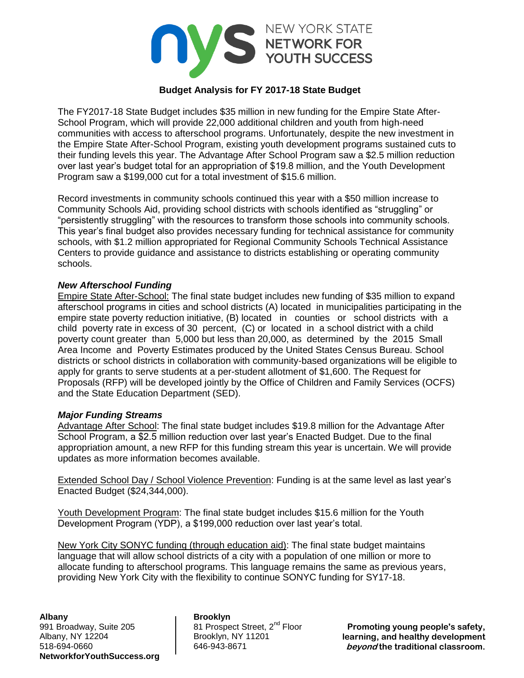

# **Budget Analysis for FY 2017-18 State Budget**

The FY2017-18 State Budget includes \$35 million in new funding for the Empire State After-School Program, which will provide 22,000 additional children and youth from high-need communities with access to afterschool programs. Unfortunately, despite the new investment in the Empire State After-School Program, existing youth development programs sustained cuts to their funding levels this year. The Advantage After School Program saw a \$2.5 million reduction over last year's budget total for an appropriation of \$19.8 million, and the Youth Development Program saw a \$199,000 cut for a total investment of \$15.6 million.

Record investments in community schools continued this year with a \$50 million increase to Community Schools Aid, providing school districts with schools identified as "struggling" or "persistently struggling" with the resources to transform those schools into community schools. This year's final budget also provides necessary funding for technical assistance for community schools, with \$1.2 million appropriated for Regional Community Schools Technical Assistance Centers to provide guidance and assistance to districts establishing or operating community schools.

### *New Afterschool Funding*

Empire State After-School: The final state budget includes new funding of \$35 million to expand afterschool programs in cities and school districts (A) located in municipalities participating in the empire state poverty reduction initiative, (B) located in counties or school districts with a child poverty rate in excess of 30 percent, (C) or located in a school district with a child poverty count greater than 5,000 but less than 20,000, as determined by the 2015 Small Area Income and Poverty Estimates produced by the United States Census Bureau. School districts or school districts in collaboration with community-based organizations will be eligible to apply for grants to serve students at a per-student allotment of \$1,600. The Request for Proposals (RFP) will be developed jointly by the Office of Children and Family Services (OCFS) and the State Education Department (SED).

#### *Major Funding Streams*

Advantage After School: The final state budget includes \$19.8 million for the Advantage After School Program, a \$2.5 million reduction over last year's Enacted Budget. Due to the final appropriation amount, a new RFP for this funding stream this year is uncertain. We will provide updates as more information becomes available.

Extended School Day / School Violence Prevention: Funding is at the same level as last year's Enacted Budget (\$24,344,000).

Youth Development Program: The final state budget includes \$15.6 million for the Youth Development Program (YDP), a \$199,000 reduction over last year's total.

New York City SONYC funding (through education aid): The final state budget maintains language that will allow school districts of a city with a population of one million or more to allocate funding to afterschool programs. This language remains the same as previous years, providing New York City with the flexibility to continue SONYC funding for SY17-18.

**Albany Brooklyn** 991 Broadway, Suite 205 81 Prospect Street, 2<sup>nd</sup> Floor<br>Albany, NY 12204 Brooklyn, NY 11201 Albany, NY 12204 518-694-0660 646-943-8671 **NetworkforYouthSuccess.org**

**Promoting young people's safety, learning, and healthy development beyond the traditional classroom.**